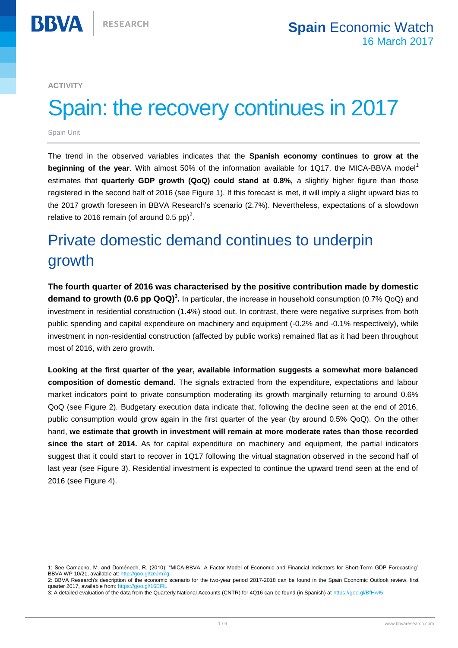**ACTIVITY**

**BBVA** 

# Spain: the recovery continues in 2017

Spain Unit

 $\overline{a}$ 

The trend in the observed variables indicates that the **Spanish economy continues to grow at the beginning of the year.** With almost 50% of the information available for 1Q17, the MICA-BBVA model<sup>1</sup> estimates that **quarterly GDP growth (QoQ) could stand at 0.8%,** a slightly higher figure than those registered in the second half of 2016 (see Figure 1). If this forecast is met, it will imply a slight upward bias to the 2017 growth foreseen in BBVA Research's scenario (2.7%). Nevertheless, expectations of a slowdown relative to 2016 remain (of around 0.5 pp)<sup>2</sup>.

## Private domestic demand continues to underpin growth

**The fourth quarter of 2016 was characterised by the positive contribution made by domestic demand to growth (0.6 pp QoQ)<sup>3</sup> .** In particular, the increase in household consumption (0.7% QoQ) and investment in residential construction (1.4%) stood out. In contrast, there were negative surprises from both public spending and capital expenditure on machinery and equipment (-0.2% and -0.1% respectively), while investment in non-residential construction (affected by public works) remained flat as it had been throughout most of 2016, with zero growth.

**Looking at the first quarter of the year, available information suggests a somewhat more balanced composition of domestic demand.** The signals extracted from the expenditure, expectations and labour market indicators point to private consumption moderating its growth marginally returning to around 0.6% QoQ (see Figure 2). Budgetary execution data indicate that, following the decline seen at the end of 2016, public consumption would grow again in the first quarter of the year (by around 0.5% QoQ). On the other hand, **we estimate that growth in investment will remain at more moderate rates than those recorded since the start of 2014.** As for capital expenditure on machinery and equipment, the partial indicators suggest that it could start to recover in 1Q17 following the virtual stagnation observed in the second half of last year (see Figure 3). Residential investment is expected to continue the upward trend seen at the end of 2016 (see Figure 4).

<sup>1:</sup> See Camacho, M. and Doménech, R. (2010): "MICA-BBVA: A Factor Model of Economic and Financial Indicators for Short-Term GDP Forecasting" BBVA WP 10/21, available at: http://goo.gl/zeJm

<sup>2:</sup> BBVA Research's description of the economic scenario for the two-year period 2017-2018 can be found in the Spain Economic Outlook review, first quarter 2017, available from: https:

<sup>3:</sup> A detailed evaluation of the data from the Quarterly National Accounts (CNTR) for 4Q16 can be found (in Spanish) a[t https://goo.gl/BfHwI5](https://goo.gl/BfHwI5)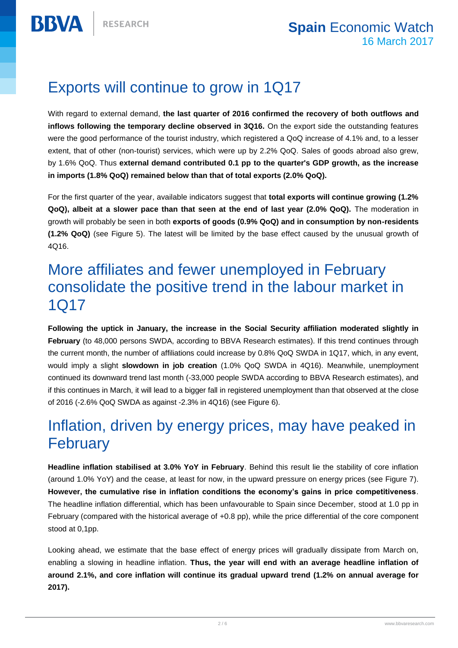**BBVA** 

## Exports will continue to grow in 1Q17

With regard to external demand, **the last quarter of 2016 confirmed the recovery of both outflows and inflows following the temporary decline observed in 3Q16.** On the export side the outstanding features were the good performance of the tourist industry, which registered a QoQ increase of 4.1% and, to a lesser extent, that of other (non-tourist) services, which were up by 2.2% QoQ. Sales of goods abroad also grew, by 1.6% QoQ. Thus **external demand contributed 0.1 pp to the quarter's GDP growth, as the increase in imports (1.8% QoQ) remained below than that of total exports (2.0% QoQ).**

For the first quarter of the year, available indicators suggest that **total exports will continue growing (1.2% QoQ), albeit at a slower pace than that seen at the end of last year (2.0% QoQ).** The moderation in growth will probably be seen in both **exports of goods (0.9% QoQ) and in consumption by non-residents (1.2% QoQ)** (see Figure 5). The latest will be limited by the base effect caused by the unusual growth of 4Q16.

### More affiliates and fewer unemployed in February consolidate the positive trend in the labour market in 1Q17

**Following the uptick in January, the increase in the Social Security affiliation moderated slightly in**  February (to 48,000 persons SWDA, according to BBVA Research estimates). If this trend continues through the current month, the number of affiliations could increase by 0.8% QoQ SWDA in 1Q17, which, in any event, would imply a slight **slowdown in job creation** (1.0% QoQ SWDA in 4Q16). Meanwhile, unemployment continued its downward trend last month (-33,000 people SWDA according to BBVA Research estimates), and if this continues in March, it will lead to a bigger fall in registered unemployment than that observed at the close of 2016 (-2.6% QoQ SWDA as against -2.3% in 4Q16) (see Figure 6).

## Inflation, driven by energy prices, may have peaked in **February**

**Headline inflation stabilised at 3.0% YoY in February**. Behind this result lie the stability of core inflation (around 1.0% YoY) and the cease, at least for now, in the upward pressure on energy prices (see Figure 7). **However, the cumulative rise in inflation conditions the economy's gains in price competitiveness**. The headline inflation differential, which has been unfavourable to Spain since December, stood at 1.0 pp in February (compared with the historical average of +0.8 pp), while the price differential of the core component stood at 0,1pp.

Looking ahead, we estimate that the base effect of energy prices will gradually dissipate from March on, enabling a slowing in headline inflation. **Thus, the year will end with an average headline inflation of around 2.1%, and core inflation will continue its gradual upward trend (1.2% on annual average for 2017).**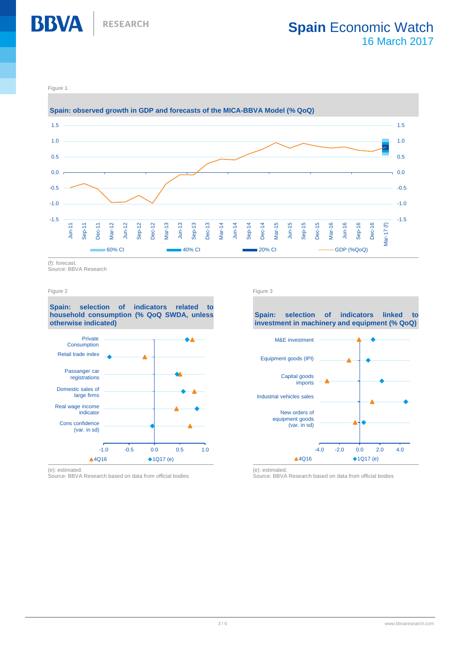

Figure 1

**BBVA** 



(f): forecast.

Source: BBVA Research

**Spain: selection of indicators related to household consumption (% QoQ SWDA, unless otherwise indicated)**



(e): estimated.

Source: BBVA Research based on data from official bodies

Figure 2 Figure 3

**Spain: selection of indicators linked to investment in machinery and equipment (% QoQ)**



(e): estimated.

Source: BBVA Research based on data from official bodies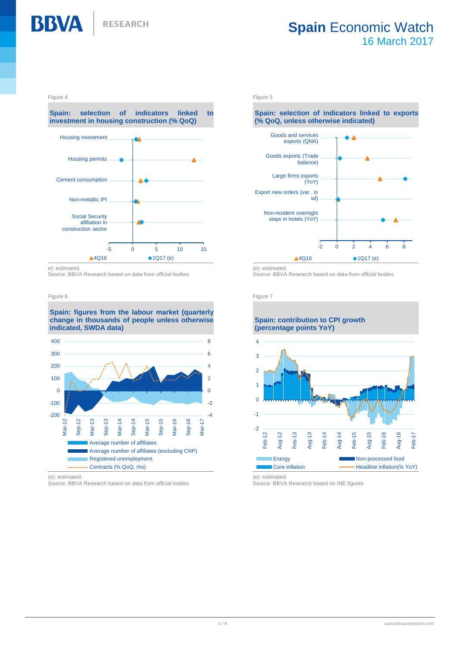

### **Spain** Economic Watch 16 March 2017

#### Figure 4 **Figure 5** Figure 5 **Figure 5** Figure 5 **Figure 5**

**BBVA** 

**Spain: selection of indicators linked to investment in housing construction (% QoQ)**



e): estimated.

Source: BBVA Research based on data from official bodies

#### Figure 6 **Figure 7** Figure 7 **Figure 7** Figure 7 **Figure 7** Figure 7 **Figure 7** Figure 7

#### **Spain: figures from the labour market (quarterly change in thousands of people unless otherwise indicated, SWDA data)**



(e): estimated.

Source: BBVA Research based on data from official bodies

### **Spain: selection of indicators linked to exports (% QoQ, unless otherwise indicated)**



Source: BBVA Research based on data from official bodies

### **Spain: contribution to CPI growth (percentage points YoY)** 4



(e): estimated.

Source: BBVA Research based on INE figures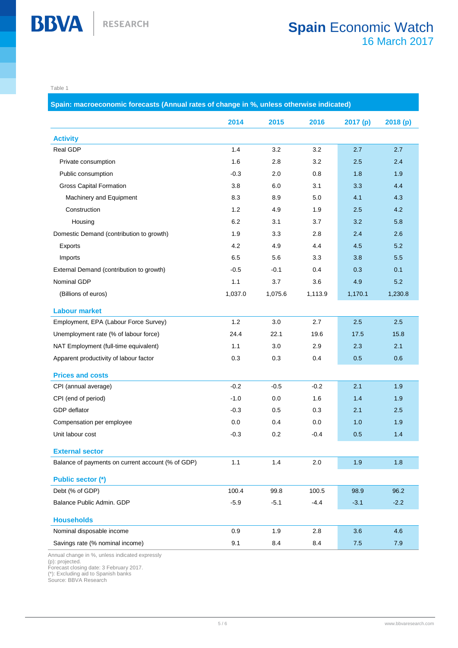Table 1

**Spain: macroeconomic forecasts (Annual rates of change in %, unless otherwise indicated) 2014 2015 2016 2017 (p) 2018 (p) Activity** Real GDP 1.4 3.2 3.2 2.7 2.7 Private consumption 1.6 2.8 3.2 2.5 2.4 Public consumption **Public consumption** -0.3 2.0 0.8 1.8 1.9 Gross Capital Formation 2.8 5.8 6.0 3.1 3.3 4.4 Machinery and Equipment 1.1 **8.3** 8.9 5.0 4.1 4.3 Construction 1.2 4.9 1.9 2.5 4.2 Housing 6.2 3.1 3.7 3.2 5.8 Domestic Demand (contribution to growth) 1.9 3.3 2.8 2.4 2.6 Exports 4.2 4.9 4.4 4.5 5.2 Imports 6.5 5.6 3.3 3.8 5.5 External Demand (contribution to growth)  $-0.5$   $-0.1$  0.4 0.3 0.1 Nominal GDP 1.1 3.7 3.6 4.9 5.2 (Billions of euros) 1,037.0 1,075.6 1,113.9 1,170.1 1,230.8 **Labour market** Employment, EPA (Labour Force Survey)  $1.2$   $3.0$   $2.7$   $2.5$   $2.5$   $2.5$ Unemployment rate (% of labour force) 24.4 22.1 19.6 17.5 15.8 NAT Employment (full-time equivalent) 1.1 3.0 2.9 2.3 2.1 Apparent productivity of labour factor  $0.3$  0.3 0.4 0.5 0.6 0.6 **Prices and costs** CPI (annual average)  $-0.2$   $-0.5$   $-0.2$   $-2.1$   $1.9$ CPI (end of period) **CPI** (end of period) **1.6** 1.4 1.9 GDP deflator  $-0.3$  0.5 0.3 2.1 2.5 Compensation per employee  $0.0$  0.4 0.0 1.0 1.9 Unit labour cost **1.4**  $\frac{1}{2}$  -0.3 0.2  $\frac{1}{2}$  -0.4 0.5 1.4 **External sector** Balance of payments on current account (% of GDP)  $1.1$  1.4 2.0 1.9 1.8 1.8 **Public sector (\*)** Debt (% of GDP) 100.4 99.8 100.5 98.9 96.2 Balance Public Admin. GDP  $-5.9$   $-5.1$   $-4.4$   $-3.1$   $-2.2$ **Households** Nominal disposable income  $0.9$  1.9 2.8 3.6 4.6 Savings rate (% nominal income) 8.1 8.4 8.4 7.5 7.9

Annual change in %, unless indicated expressly

(p): projected.

Forecast closing date: 3 February 2017.

(\*): Excluding aid to Spanish banks

Source: BBVA Research